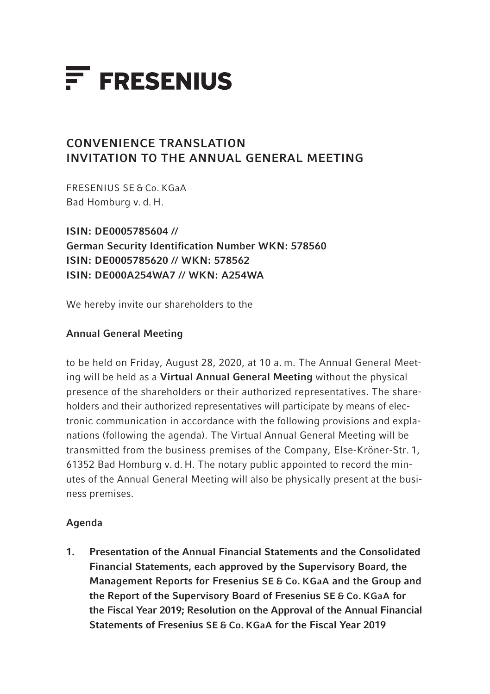

# CONVENIENCE TRANSLATION INVITATION TO THE ANNUAL GENERAL MEETING

FRESENIUS SE & Co. KGaA Bad Homburg v. d. H.

ISIN: DE0005785604 // German Security Identification Number WKN: 578560 ISIN: DE0005785620 // WKN: 578562 ISIN: DE000A254WA7 // WKN: A254WA

We hereby invite our shareholders to the

# Annual General Meeting

to be held on Friday, August 28, 2020, at 10 a. m. The Annual General Meeting will be held as a Virtual Annual General Meeting without the physical presence of the shareholders or their authorized representatives. The shareholders and their authorized representatives will participate by means of electronic communication in accordance with the following provisions and explanations (following the agenda). The Virtual Annual General Meeting will be transmitted from the business premises of the Company, Else-Kröner-Str. 1, 61352 Bad Homburg v. d. H. The notary public appointed to record the minutes of the Annual General Meeting will also be physically present at the business premises.

# Agenda

1. Presentation of the Annual Financial Statements and the Consolidated Financial Statements, each approved by the Supervisory Board, the Management Reports for Fresenius SE & Co. KGaA and the Group and the Report of the Supervisory Board of Fresenius SE & Co. KGaA for the Fiscal Year 2019; Resolution on the Approval of the Annual Financial Statements of Fresenius SE & Co. KGaA for the Fiscal Year 2019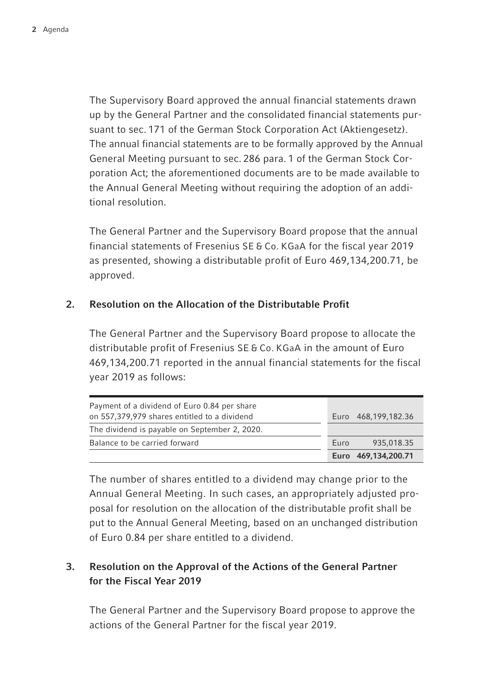The Supervisory Board approved the annual financial statements drawn up by the General Partner and the consolidated financial statements pursuant to sec. 171 of the German Stock Corporation Act (Aktiengesetz). The annual financial statements are to be formally approved by the Annual General Meeting pursuant to sec. 286 para. 1 of the German Stock Corporation Act; the aforementioned documents are to be made available to the Annual General Meeting without requiring the adoption of an additional resolution.

The General Partner and the Supervisory Board propose that the annual financial statements of Fresenius SE & Co. KGaA for the fiscal year 2019 as presented, showing a distributable profit of Euro 469,134,200.71, be approved.

# 2. Resolution on the Allocation of the Distributable Profit

The General Partner and the Supervisory Board propose to allocate the distributable profit of Fresenius SE & Co. KGaA in the amount of Euro 469,134,200.71 reported in the annual financial statements for the fiscal year 2019 as follows:

| Payment of a dividend of Euro 0.84 per share<br>on 557,379,979 shares entitled to a dividend |      | Euro 468,199,182.36 |
|----------------------------------------------------------------------------------------------|------|---------------------|
| The dividend is payable on September 2, 2020.                                                |      |                     |
| Balance to be carried forward                                                                | Euro | 935,018.35          |
|                                                                                              |      | Euro 469,134,200.71 |

The number of shares entitled to a dividend may change prior to the Annual General Meeting. In such cases, an appropriately adjusted proposal for resolution on the allocation of the distributable profit shall be put to the Annual General Meeting, based on an unchanged distribution of Euro 0.84 per share entitled to a dividend.

# 3. Resolution on the Approval of the Actions of the General Partner for the Fiscal Year 2019

The General Partner and the Supervisory Board propose to approve the actions of the General Partner for the fiscal year 2019.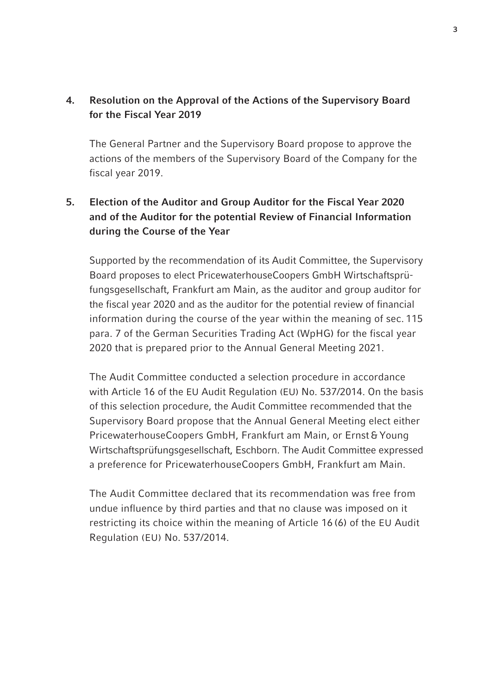# 4. Resolution on the Approval of the Actions of the Supervisory Board for the Fiscal Year 2019

The General Partner and the Supervisory Board propose to approve the actions of the members of the Supervisory Board of the Company for the fiscal year 2019.

# 5. Election of the Auditor and Group Auditor for the Fiscal Year 2020 and of the Auditor for the potential Review of Financial Information during the Course of the Year

 Supported by the recommendation of its Audit Committee, the Supervisory Board proposes to elect PricewaterhouseCoopers GmbH Wirtschaftsprüfungsgesellschaft, Frankfurt am Main, as the auditor and group auditor for the fiscal year 2020 and as the auditor for the potential review of financial information during the course of the year within the meaning of sec. 115 para. 7 of the German Securities Trading Act (WpHG) for the fiscal year 2020 that is prepared prior to the Annual General Meeting 2021.

 The Audit Committee conducted a selection procedure in accordance with Article 16 of the EU Audit Regulation (EU) No. 537/2014. On the basis of this selection procedure, the Audit Committee recommended that the Supervisory Board propose that the Annual General Meeting elect either PricewaterhouseCoopers GmbH, Frankfurt am Main, or Ernst & Young Wirtschaftsprüfungsgesellschaft, Eschborn. The Audit Committee expressed a preference for PricewaterhouseCoopers GmbH, Frankfurt am Main.

 The Audit Committee declared that its recommendation was free from undue influence by third parties and that no clause was imposed on it restricting its choice within the meaning of Article 16 (6) of the EU Audit Regulation (EU) No. 537/2014.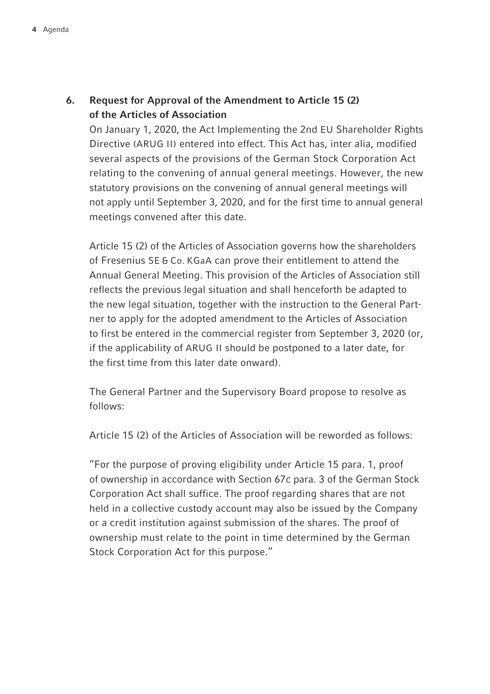# 6. Request for Approval of the Amendment to Article 15 (2) of the Articles of Association

 On January 1, 2020, the Act Implementing the 2nd EU Shareholder Rights Directive (ARUG II) entered into effect. This Act has, inter alia, modified several aspects of the provisions of the German Stock Corporation Act relating to the convening of annual general meetings. However, the new statutory provisions on the convening of annual general meetings will not apply until September 3, 2020, and for the first time to annual general meetings convened after this date.

 Article 15 (2) of the Articles of Association governs how the shareholders of Fresenius SE & Co. KGaA can prove their entitlement to attend the Annual General Meeting. This provision of the Articles of Association still reflects the previous legal situation and shall henceforth be adapted to the new legal situation, together with the instruction to the General Partner to apply for the adopted amendment to the Articles of Association to first be entered in the commercial register from September 3, 2020 (or, if the applicability of ARUG II should be postponed to a later date, for the first time from this later date onward).

 The General Partner and the Supervisory Board propose to resolve as follows:

Article 15 (2) of the Articles of Association will be reworded as follows:

 "For the purpose of proving eligibility under Article 15 para. 1, proof of ownership in accordance with Section 67c para. 3 of the German Stock Corporation Act shall suffice. The proof regarding shares that are not held in a collective custody account may also be issued by the Company or a credit institution against submission of the shares. The proof of ownership must relate to the point in time determined by the German Stock Corporation Act for this purpose."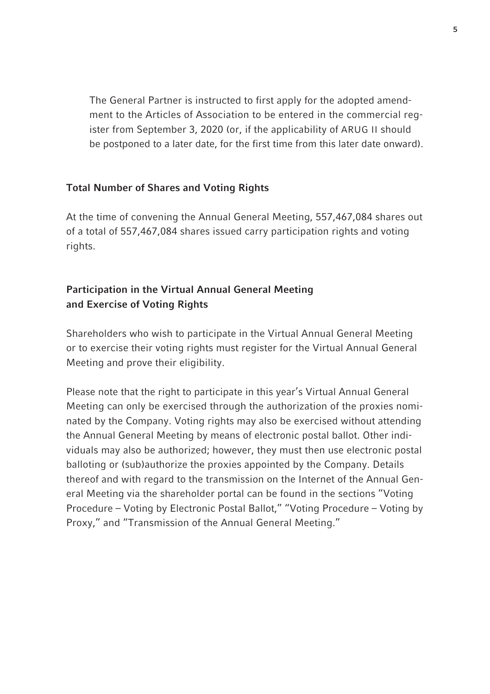The General Partner is instructed to first apply for the adopted amendment to the Articles of Association to be entered in the commercial register from September 3, 2020 (or, if the applicability of ARUG II should be postponed to a later date, for the first time from this later date onward).

## Total Number of Shares and Voting Rights

At the time of convening the Annual General Meeting, 557,467,084 shares out of a total of 557,467,084 shares issued carry participation rights and voting rights.

# Participation in the Virtual Annual General Meeting and Exercise of Voting Rights

Shareholders who wish to participate in the Virtual Annual General Meeting or to exercise their voting rights must register for the Virtual Annual General Meeting and prove their eligibility.

Please note that the right to participate in this year's Virtual Annual General Meeting can only be exercised through the authorization of the proxies nominated by the Company. Voting rights may also be exercised without attending the Annual General Meeting by means of electronic postal ballot. Other individuals may also be authorized; however, they must then use electronic postal balloting or (sub)authorize the proxies appointed by the Company. Details thereof and with regard to the transmission on the Internet of the Annual General Meeting via the shareholder portal can be found in the sections "Voting Procedure – Voting by Electronic Postal Ballot," "Voting Procedure – Voting by Proxy," and "Transmission of the Annual General Meeting."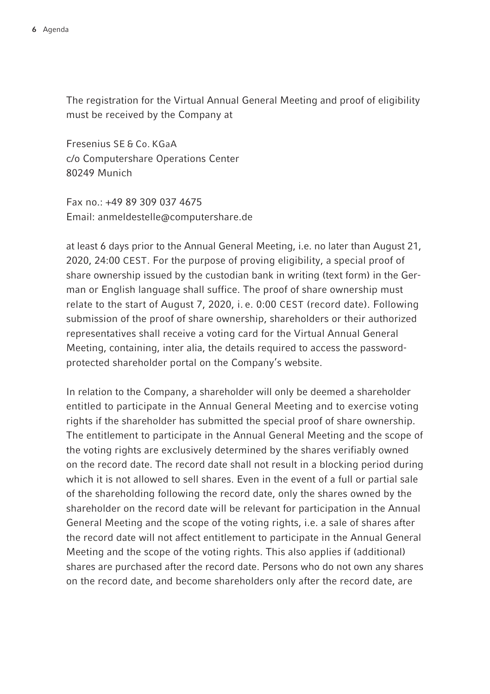The registration for the Virtual Annual General Meeting and proof of eligibility must be received by the Company at

Fresenius SE & Co. KGaA c/o Computershare Operations Center 80249 Munich

 $Fay no : +49893090374675$ Email: anmeldestelle@computershare.de

at least 6 days prior to the Annual General Meeting, i.e. no later than August 21, 2020, 24:00 CEST. For the purpose of proving eligibility, a special proof of share ownership issued by the custodian bank in writing (text form) in the German or English language shall suffice. The proof of share ownership must relate to the start of August 7, 2020, i. e. 0:00 CEST (record date). Following submission of the proof of share ownership, shareholders or their authorized representatives shall receive a voting card for the Virtual Annual General Meeting, containing, inter alia, the details required to access the passwordprotected shareholder portal on the Company's website.

In relation to the Company, a shareholder will only be deemed a shareholder entitled to participate in the Annual General Meeting and to exercise voting rights if the shareholder has submitted the special proof of share ownership. The entitlement to participate in the Annual General Meeting and the scope of the voting rights are exclusively determined by the shares verifiably owned on the record date. The record date shall not result in a blocking period during which it is not allowed to sell shares. Even in the event of a full or partial sale of the shareholding following the record date, only the shares owned by the shareholder on the record date will be relevant for participation in the Annual General Meeting and the scope of the voting rights, i.e. a sale of shares after the record date will not affect entitlement to participate in the Annual General Meeting and the scope of the voting rights. This also applies if (additional) shares are purchased after the record date. Persons who do not own any shares on the record date, and become shareholders only after the record date, are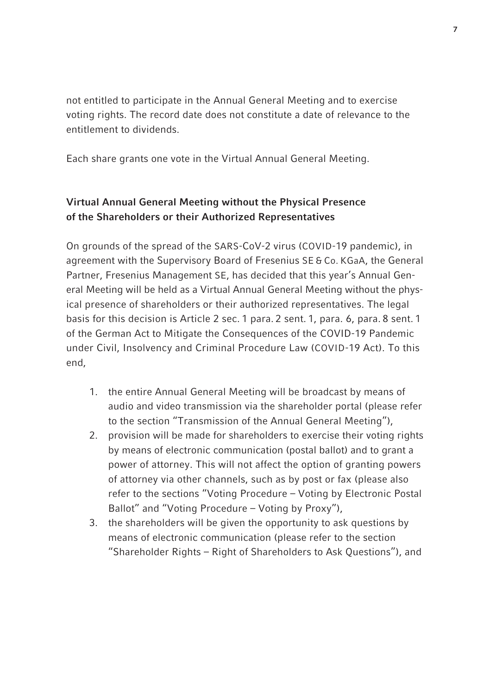not entitled to participate in the Annual General Meeting and to exercise voting rights. The record date does not constitute a date of relevance to the entitlement to dividends.

Each share grants one vote in the Virtual Annual General Meeting.

# Virtual Annual General Meeting without the Physical Presence of the Shareholders or their Authorized Representatives

On grounds of the spread of the SARS-CoV-2 virus (COVID-19 pandemic), in agreement with the Supervisory Board of Fresenius SE & Co. KGaA, the General Partner, Fresenius Management SE, has decided that this year's Annual General Meeting will be held as a Virtual Annual General Meeting without the physical presence of shareholders or their authorized representatives. The legal basis for this decision is Article 2 sec. 1 para. 2 sent. 1, para. 6, para. 8 sent. 1 of the German Act to Mitigate the Consequences of the COVID-19 Pandemic under Civil, Insolvency and Criminal Procedure Law (COVID-19 Act). To this end,

- 1. the entire Annual General Meeting will be broadcast by means of audio and video transmission via the shareholder portal (please refer to the section "Transmission of the Annual General Meeting"),
- 2. provision will be made for shareholders to exercise their voting rights by means of electronic communication (postal ballot) and to grant a power of attorney. This will not affect the option of granting powers of attorney via other channels, such as by post or fax (please also refer to the sections "Voting Procedure – Voting by Electronic Postal Ballot" and "Voting Procedure – Voting by Proxy"),
- 3. the shareholders will be given the opportunity to ask questions by means of electronic communication (please refer to the section "Shareholder Rights – Right of Shareholders to Ask Questions"), and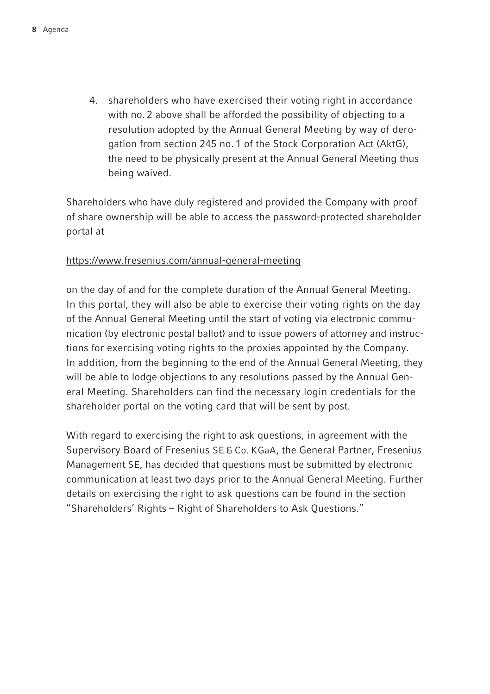4. shareholders who have exercised their voting right in accordance with no. 2 above shall be afforded the possibility of objecting to a resolution adopted by the Annual General Meeting by way of derogation from section 245 no. 1 of the Stock Corporation Act (AktG), the need to be physically present at the Annual General Meeting thus being waived.

Shareholders who have duly registered and provided the Company with proof of share ownership will be able to access the password-protected shareholder portal at

# https://www.fresenius.com/annual-general-meeting

on the day of and for the complete duration of the Annual General Meeting. In this portal, they will also be able to exercise their voting rights on the day of the Annual General Meeting until the start of voting via electronic communication (by electronic postal ballot) and to issue powers of attorney and instructions for exercising voting rights to the proxies appointed by the Company. In addition, from the beginning to the end of the Annual General Meeting, they will be able to lodge objections to any resolutions passed by the Annual General Meeting. Shareholders can find the necessary login credentials for the shareholder portal on the voting card that will be sent by post.

With regard to exercising the right to ask questions, in agreement with the Supervisory Board of Fresenius SE & Co. KGaA, the General Partner, Fresenius Management SE, has decided that questions must be submitted by electronic communication at least two days prior to the Annual General Meeting. Further details on exercising the right to ask questions can be found in the section "Shareholders' Rights – Right of Shareholders to Ask Questions."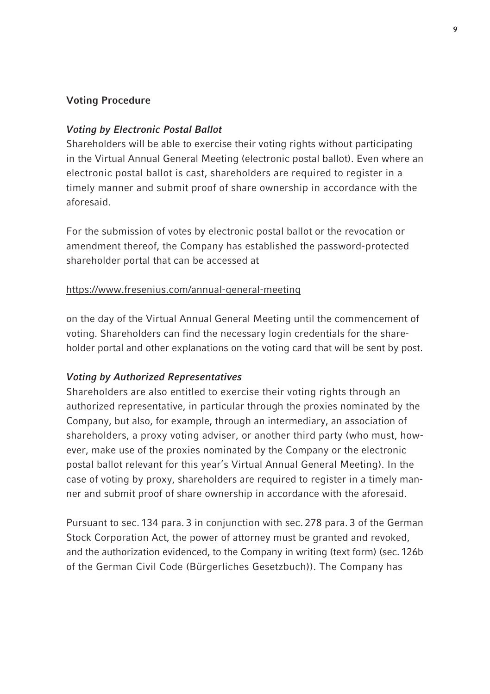## Voting Procedure

## Voting by Electronic Postal Ballot

Shareholders will be able to exercise their voting rights without participating in the Virtual Annual General Meeting (electronic postal ballot). Even where an electronic postal ballot is cast, shareholders are required to register in a timely manner and submit proof of share ownership in accordance with the aforesaid.

For the submission of votes by electronic postal ballot or the revocation or amendment thereof, the Company has established the password-protected shareholder portal that can be accessed at

## https://www.fresenius.com/annual-general-meeting

on the day of the Virtual Annual General Meeting until the commencement of voting. Shareholders can find the necessary login credentials for the shareholder portal and other explanations on the voting card that will be sent by post.

### Voting by Authorized Representatives

Shareholders are also entitled to exercise their voting rights through an authorized representative, in particular through the proxies nominated by the Company, but also, for example, through an intermediary, an association of shareholders, a proxy voting adviser, or another third party (who must, however, make use of the proxies nominated by the Company or the electronic postal ballot relevant for this year's Virtual Annual General Meeting). In the case of voting by proxy, shareholders are required to register in a timely manner and submit proof of share ownership in accordance with the aforesaid.

Pursuant to sec. 134 para. 3 in conjunction with sec. 278 para. 3 of the German Stock Corporation Act, the power of attorney must be granted and revoked, and the authorization evidenced, to the Company in writing (text form) (sec. 126b of the German Civil Code (Bürgerliches Gesetzbuch)). The Company has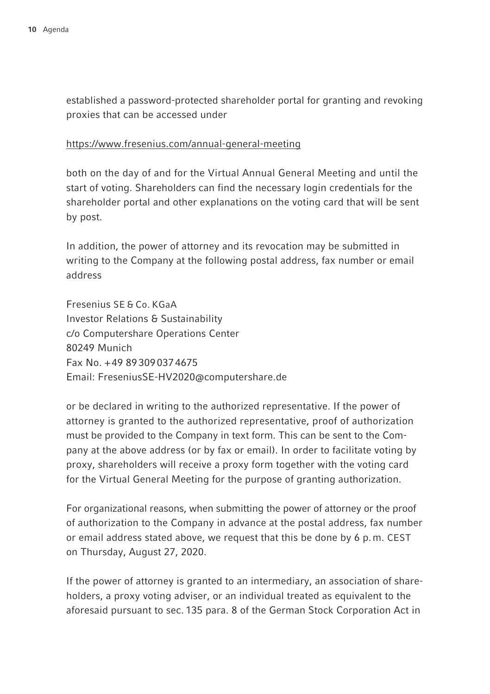established a password-protected shareholder portal for granting and revoking proxies that can be accessed under

#### https://www.fresenius.com/annual-general-meeting

both on the day of and for the Virtual Annual General Meeting and until the start of voting. Shareholders can find the necessary login credentials for the shareholder portal and other explanations on the voting card that will be sent by post.

In addition, the power of attorney and its revocation may be submitted in writing to the Company at the following postal address, fax number or email address

Fresenius SE & Co. KGaA Investor Relations & Sustainability c/o Computershare Operations Center 80249 Munich Fax No. + 49 89 309 037 4675 Email: FreseniusSE-HV2020@computershare.de

or be declared in writing to the authorized representative. If the power of attorney is granted to the authorized representative, proof of authorization must be provided to the Company in text form. This can be sent to the Company at the above address (or by fax or email). In order to facilitate voting by proxy, shareholders will receive a proxy form together with the voting card for the Virtual General Meeting for the purpose of granting authorization.

For organizational reasons, when submitting the power of attorney or the proof of authorization to the Company in advance at the postal address, fax number or email address stated above, we request that this be done by 6 p. m. CEST on Thursday, August 27, 2020.

If the power of attorney is granted to an intermediary, an association of shareholders, a proxy voting adviser, or an individual treated as equivalent to the aforesaid pursuant to sec. 135 para. 8 of the German Stock Corporation Act in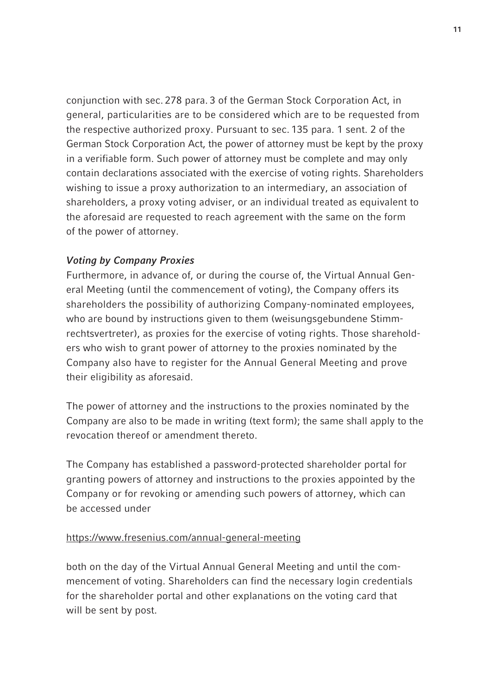conjunction with sec. 278 para. 3 of the German Stock Corporation Act, in general, particularities are to be considered which are to be requested from the respective authorized proxy. Pursuant to sec. 135 para. 1 sent. 2 of the German Stock Corporation Act, the power of attorney must be kept by the proxy in a verifiable form. Such power of attorney must be complete and may only contain declarations associated with the exercise of voting rights. Shareholders wishing to issue a proxy authorization to an intermediary, an association of shareholders, a proxy voting adviser, or an individual treated as equivalent to the aforesaid are requested to reach agreement with the same on the form of the power of attorney.

# Voting by Company Proxies

Furthermore, in advance of, or during the course of, the Virtual Annual General Meeting (until the commencement of voting), the Company offers its shareholders the possibility of authorizing Company-nominated employees, who are bound by instructions given to them (weisungsgebundene Stimmrechtsvertreter), as proxies for the exercise of voting rights. Those shareholders who wish to grant power of attorney to the proxies nominated by the Company also have to register for the Annual General Meeting and prove their eligibility as aforesaid.

The power of attorney and the instructions to the proxies nominated by the Company are also to be made in writing (text form); the same shall apply to the revocation thereof or amendment thereto.

The Company has established a password-protected shareholder portal for granting powers of attorney and instructions to the proxies appointed by the Company or for revoking or amending such powers of attorney, which can be accessed under

# https://www.fresenius.com/annual-general-meeting

both on the day of the Virtual Annual General Meeting and until the commencement of voting. Shareholders can find the necessary login credentials for the shareholder portal and other explanations on the voting card that will be sent by post.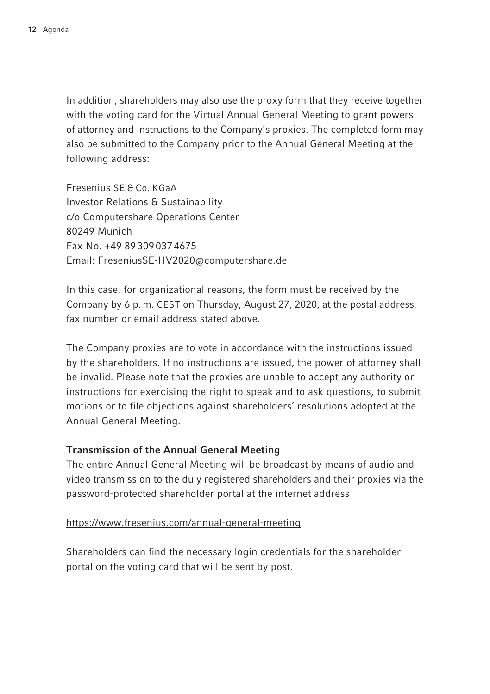In addition, shareholders may also use the proxy form that they receive together with the voting card for the Virtual Annual General Meeting to grant powers of attorney and instructions to the Company's proxies. The completed form may also be submitted to the Company prior to the Annual General Meeting at the following address:

Fresenius SE & Co. KGaA Investor Relations & Sustainability c/o Computershare Operations Center 80249 Munich Fax No. +49 89 309 037 4675 Email: FreseniusSE-HV2020@computershare.de

In this case, for organizational reasons, the form must be received by the Company by 6 p. m. CEST on Thursday, August 27, 2020, at the postal address, fax number or email address stated above.

The Company proxies are to vote in accordance with the instructions issued by the shareholders. If no instructions are issued, the power of attorney shall be invalid. Please note that the proxies are unable to accept any authority or instructions for exercising the right to speak and to ask questions, to submit motions or to file objections against shareholders' resolutions adopted at the Annual General Meeting.

# Transmission of the Annual General Meeting

The entire Annual General Meeting will be broadcast by means of audio and video transmission to the duly registered shareholders and their proxies via the password-protected shareholder portal at the internet address

### https://www.fresenius.com/annual-general-meeting

Shareholders can find the necessary login credentials for the shareholder portal on the voting card that will be sent by post.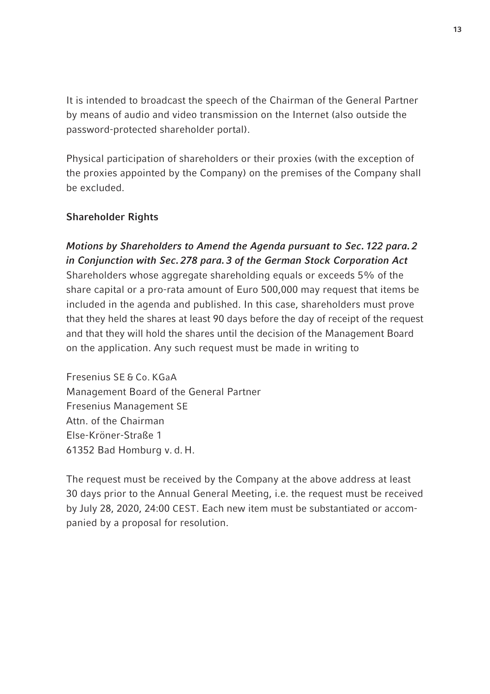It is intended to broadcast the speech of the Chairman of the General Partner by means of audio and video transmission on the Internet (also outside the password-protected shareholder portal).

Physical participation of shareholders or their proxies (with the exception of the proxies appointed by the Company) on the premises of the Company shall be excluded.

## Shareholder Rights

Motions by Shareholders to Amend the Agenda pursuant to Sec. 122 para. 2 in Conjunction with Sec. 278 para. 3 of the German Stock Corporation Act Shareholders whose aggregate shareholding equals or exceeds 5% of the share capital or a pro-rata amount of Euro 500,000 may request that items be included in the agenda and published. In this case, shareholders must prove that they held the shares at least 90 days before the day of receipt of the request and that they will hold the shares until the decision of the Management Board on the application. Any such request must be made in writing to

Fresenius SE & Co. KGaA Management Board of the General Partner Fresenius Management SE Attn. of the Chairman Else-Kröner-Straße 1 61352 Bad Homburg v. d. H.

The request must be received by the Company at the above address at least 30 days prior to the Annual General Meeting, i.e. the request must be received by July 28, 2020, 24:00 CEST. Each new item must be substantiated or accompanied by a proposal for resolution.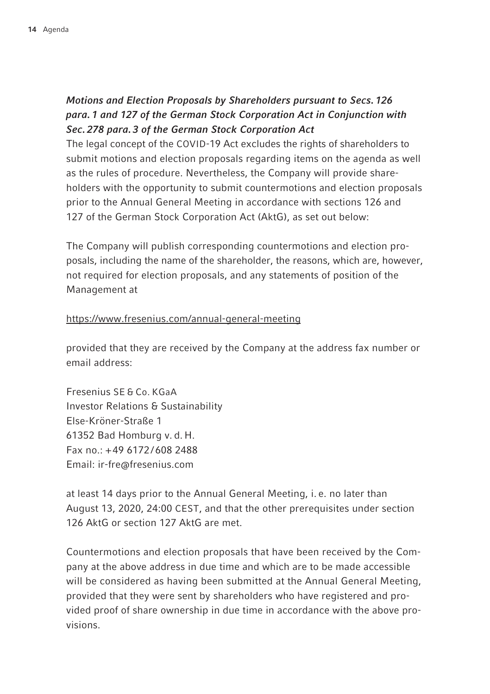# Motions and Election Proposals by Shareholders pursuant to Secs. 126 para. 1 and 127 of the German Stock Corporation Act in Conjunction with Sec. 278 para. 3 of the German Stock Corporation Act

The legal concept of the COVID-19 Act excludes the rights of shareholders to submit motions and election proposals regarding items on the agenda as well as the rules of procedure. Nevertheless, the Company will provide shareholders with the opportunity to submit countermotions and election proposals prior to the Annual General Meeting in accordance with sections 126 and 127 of the German Stock Corporation Act (AktG), as set out below:

The Company will publish corresponding countermotions and election proposals, including the name of the shareholder, the reasons, which are, however, not required for election proposals, and any statements of position of the Management at

# https://www.fresenius.com/annual-general-meeting

provided that they are received by the Company at the address fax number or email address:

Fresenius SE & Co. KGaA Investor Relations & Sustainability Else-Kröner-Straße 1 61352 Bad Homburg v. d. H. Fax no.: + 49 6172 / 608 2488 Email: ir-fre@fresenius.com

at least 14 days prior to the Annual General Meeting, i. e. no later than August 13, 2020, 24:00 CEST, and that the other prerequisites under section 126 AktG or section 127 AktG are met.

Countermotions and election proposals that have been received by the Company at the above address in due time and which are to be made accessible will be considered as having been submitted at the Annual General Meeting, provided that they were sent by shareholders who have registered and provided proof of share ownership in due time in accordance with the above provisions.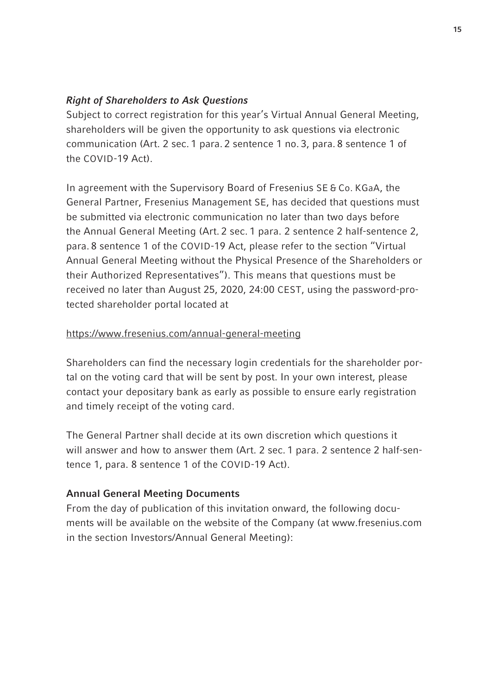## Right of Shareholders to Ask Questions

Subject to correct registration for this year's Virtual Annual General Meeting, shareholders will be given the opportunity to ask questions via electronic communication (Art. 2 sec. 1 para. 2 sentence 1 no. 3, para. 8 sentence 1 of the COVID-19 Act).

In agreement with the Supervisory Board of Fresenius SE & Co. KGaA, the General Partner, Fresenius Management SE, has decided that questions must be submitted via electronic communication no later than two days before the Annual General Meeting (Art. 2 sec. 1 para. 2 sentence 2 half-sentence 2, para. 8 sentence 1 of the COVID-19 Act, please refer to the section "Virtual Annual General Meeting without the Physical Presence of the Shareholders or their Authorized Representatives"). This means that questions must be received no later than August 25, 2020, 24:00 CEST, using the password-protected shareholder portal located at

# https://www.fresenius.com/annual-general-meeting

Shareholders can find the necessary login credentials for the shareholder portal on the voting card that will be sent by post. In your own interest, please contact your depositary bank as early as possible to ensure early registration and timely receipt of the voting card.

The General Partner shall decide at its own discretion which questions it will answer and how to answer them (Art. 2 sec. 1 para. 2 sentence 2 half-sentence 1, para. 8 sentence 1 of the COVID-19 Act).

# Annual General Meeting Documents

From the day of publication of this invitation onward, the following documents will be available on the website of the Company (at www.fresenius.com in the section Investors/Annual General Meeting):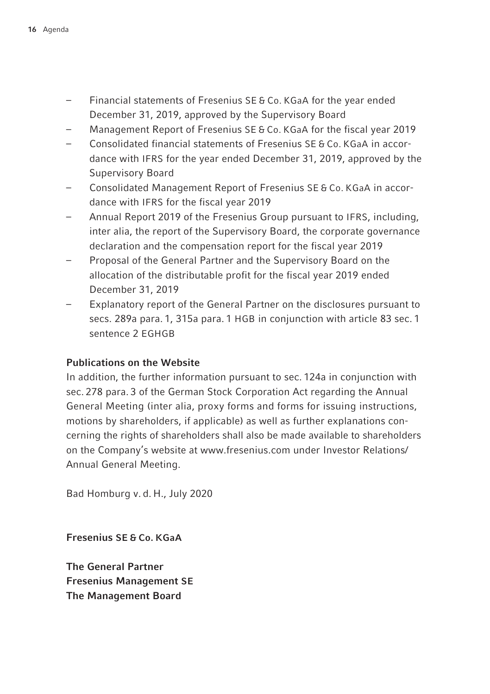- Financial statements of Fresenius SE & Co. KGaA for the year ended December 31, 2019, approved by the Supervisory Board
- Management Report of Fresenius SE & Co. KGaA for the fiscal year 2019
- Consolidated financial statements of Fresenius SE & Co. KGaA in accordance with IFRS for the year ended December 31, 2019, approved by the Supervisory Board
- Consolidated Management Report of Fresenius SE & Co. KGaA in accordance with IFRS for the fiscal year 2019
- Annual Report 2019 of the Fresenius Group pursuant to IFRS, including, inter alia, the report of the Supervisory Board, the corporate governance declaration and the compensation report for the fiscal year 2019
- Proposal of the General Partner and the Supervisory Board on the allocation of the distributable profit for the fiscal year 2019 ended December 31, 2019
- Explanatory report of the General Partner on the disclosures pursuant to secs. 289a para. 1, 315a para. 1 HGB in conjunction with article 83 sec. 1 sentence 2 EGHGB

## Publications on the Website

In addition, the further information pursuant to sec. 124a in conjunction with sec. 278 para. 3 of the German Stock Corporation Act regarding the Annual General Meeting (inter alia, proxy forms and forms for issuing instructions, motions by shareholders, if applicable) as well as further explanations concerning the rights of shareholders shall also be made available to shareholders on the Company's website at www.fresenius.com under Investor Relations/ Annual General Meeting.

Bad Homburg v. d. H., July 2020

Fresenius SE & Co. KGaA

The General Partner Fresenius Management SE The Management Board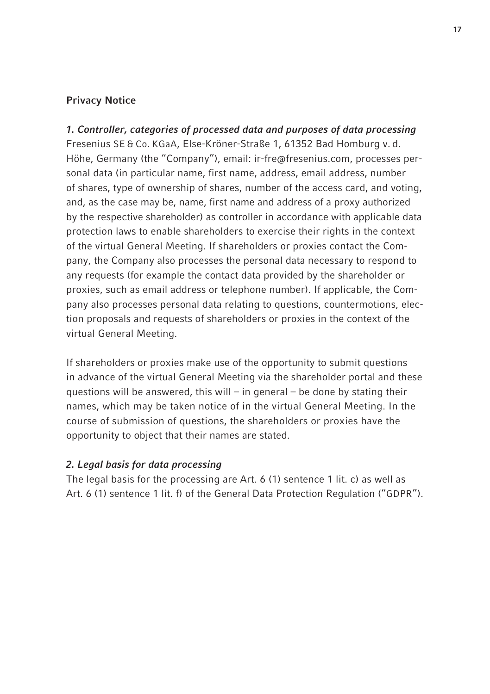# Privacy Notice

1. Controller, categories of processed data and purposes of data processing Fresenius SE & Co. KGaA, Else-Kröner-Straße 1, 61352 Bad Homburg v. d. Höhe, Germany (the "Company"), email: ir-fre@fresenius.com, processes personal data (in particular name, first name, address, email address, number of shares, type of ownership of shares, number of the access card, and voting, and, as the case may be, name, first name and address of a proxy authorized by the respective shareholder) as controller in accordance with applicable data protection laws to enable shareholders to exercise their rights in the context of the virtual General Meeting. If shareholders or proxies contact the Company, the Company also processes the personal data necessary to respond to any requests (for example the contact data provided by the shareholder or proxies, such as email address or telephone number). If applicable, the Company also processes personal data relating to questions, countermotions, election proposals and requests of shareholders or proxies in the context of the virtual General Meeting.

If shareholders or proxies make use of the opportunity to submit questions in advance of the virtual General Meeting via the shareholder portal and these questions will be answered, this will  $-$  in general  $-$  be done by stating their names, which may be taken notice of in the virtual General Meeting. In the course of submission of questions, the shareholders or proxies have the opportunity to object that their names are stated.

## 2. Legal basis for data processing

The legal basis for the processing are Art. 6 (1) sentence 1 lit. c) as well as Art. 6 (1) sentence 1 lit. f) of the General Data Protection Regulation ("GDPR").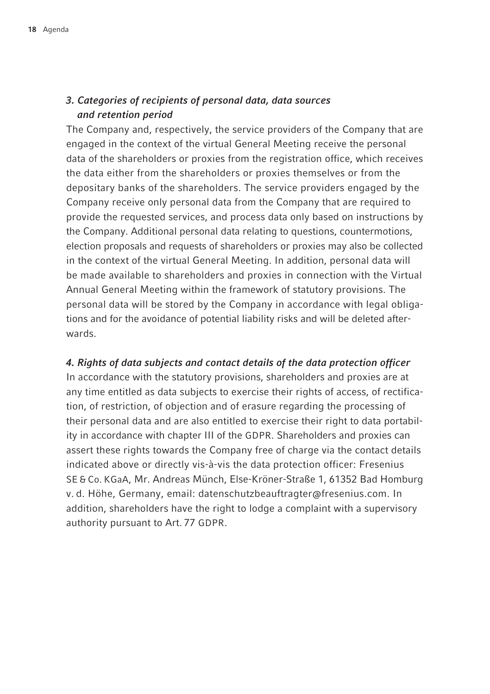# 3. Categories of recipients of personal data, data sources and retention period

The Company and, respectively, the service providers of the Company that are engaged in the context of the virtual General Meeting receive the personal data of the shareholders or proxies from the registration office, which receives the data either from the shareholders or proxies themselves or from the depositary banks of the shareholders. The service providers engaged by the Company receive only personal data from the Company that are required to provide the requested services, and process data only based on instructions by the Company. Additional personal data relating to questions, countermotions, election proposals and requests of shareholders or proxies may also be collected in the context of the virtual General Meeting. In addition, personal data will be made available to shareholders and proxies in connection with the Virtual Annual General Meeting within the framework of statutory provisions. The personal data will be stored by the Company in accordance with legal obligations and for the avoidance of potential liability risks and will be deleted afterwards.

# 4. Rights of data subjects and contact details of the data protection officer

In accordance with the statutory provisions, shareholders and proxies are at any time entitled as data subjects to exercise their rights of access, of rectification, of restriction, of objection and of erasure regarding the processing of their personal data and are also entitled to exercise their right to data portability in accordance with chapter III of the GDPR. Shareholders and proxies can assert these rights towards the Company free of charge via the contact details indicated above or directly vis-à-vis the data protection officer: Fresenius SE & Co. KGaA, Mr. Andreas Münch, Else-Kröner-Straße 1, 61352 Bad Homburg v. d. Höhe, Germany, email: datenschutzbeauftragter@fresenius.com. In addition, shareholders have the right to lodge a complaint with a supervisory authority pursuant to Art. 77 GDPR.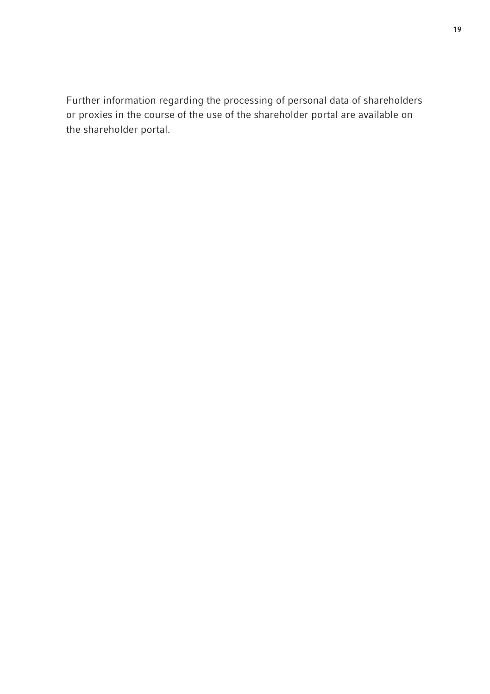Further information regarding the processing of personal data of shareholders or proxies in the course of the use of the shareholder portal are available on the shareholder portal.